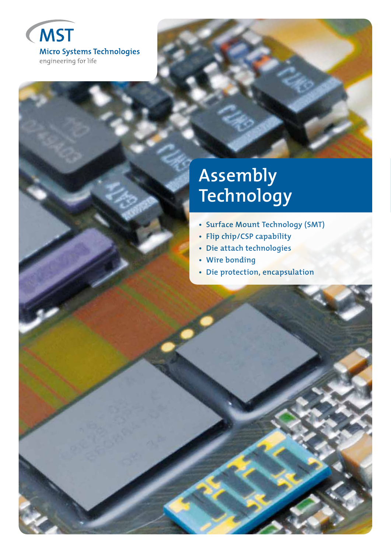

# **Assembly Technology**

- **Surface Mount Technology (SMT)**
- **Flip chip/CSP capability**
- **Die attach technologies**
- **Wire bonding**
- **Die protection, encapsulation**